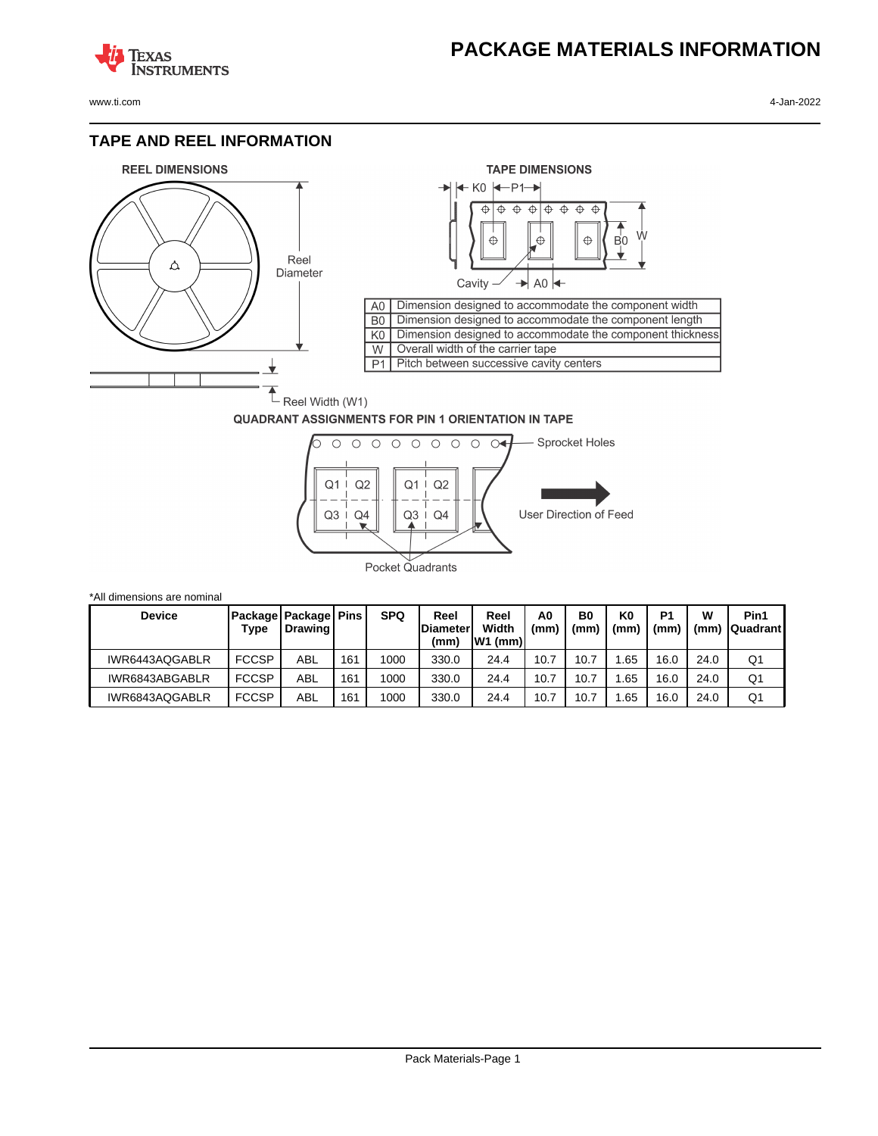### **PACKAGE MATERIALS INFORMATION**

**TEXAS NSTRUMENTS** 

www.ti.com 4-Jan-2022

### **TAPE AND REEL INFORMATION**





#### **QUADRANT ASSIGNMENTS FOR PIN 1 ORIENTATION IN TAPE**



| *All dimensions are nominal |              |                                              |     |            |                                 |                            |           |            |                        |                       |           |                         |
|-----------------------------|--------------|----------------------------------------------|-----|------------|---------------------------------|----------------------------|-----------|------------|------------------------|-----------------------|-----------|-------------------------|
| <b>Device</b>               | Type         | Package   Package   Pins<br><b>I</b> Drawing |     | <b>SPQ</b> | Reel<br><b>Diameter</b><br>(mm) | Reel<br>Width<br>$W1$ (mm) | A0<br>(mm | B0<br>(mm) | K <sub>0</sub><br>(mm) | P <sub>1</sub><br>(mm | W<br>(mm) | Pin1<br><b>Quadrant</b> |
| IWR6443AQGABLR              | <b>FCCSP</b> | ABL                                          | 161 | 1000       | 330.0                           | 24.4                       | 10.7      | 10.7       | .65                    | 16.0                  | 24.0      | Q1                      |
| IWR6843ABGABLR              | <b>FCCSP</b> | ABL                                          | 161 | 1000       | 330.0                           | 24.4                       | 10.7      | 10.7       | .65                    | 16.0                  | 24.0      | Q1                      |
| IWR6843AQGABLR              | <b>FCCSP</b> | ABL                                          | 161 | 1000       | 330.0                           | 24.4                       | 10.7      | 10.7       | .65                    | 16.0                  | 24.0      | Q1                      |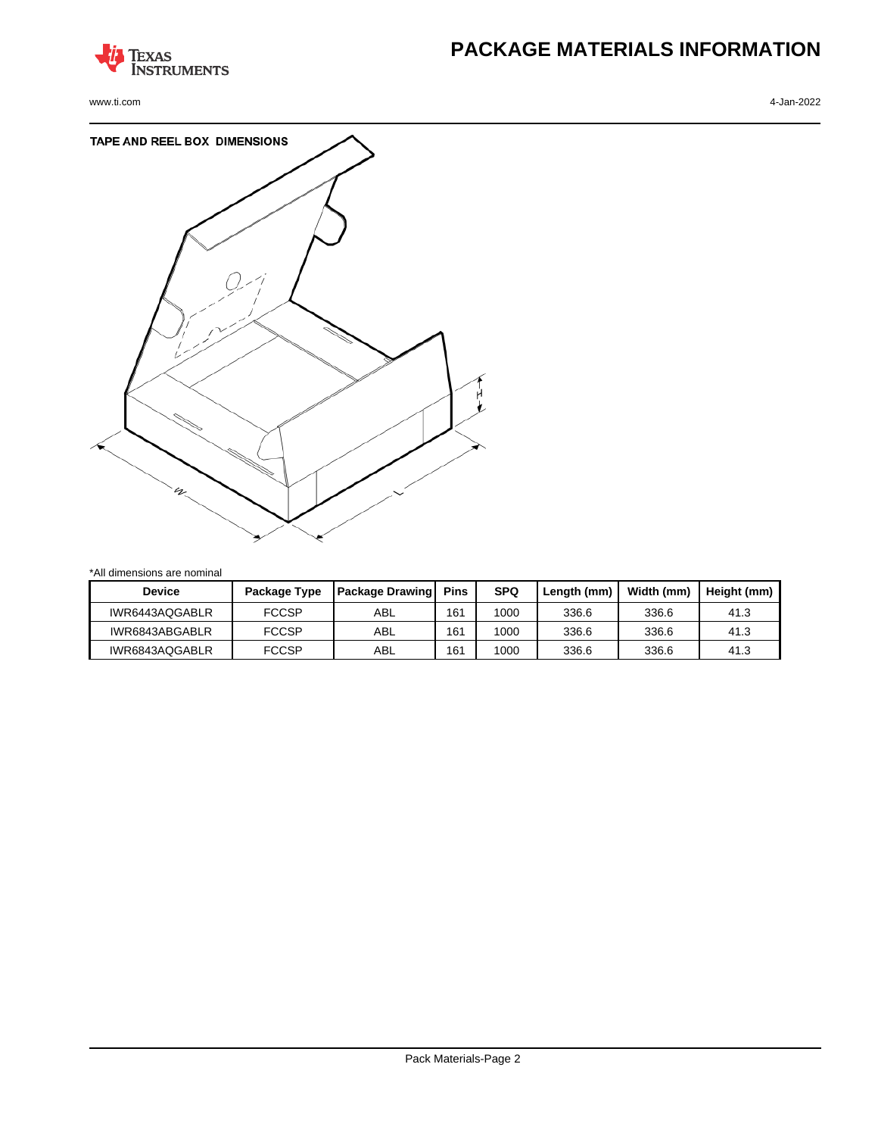

www.ti.com 4-Jan-2022

## **PACKAGE MATERIALS INFORMATION**



\*All dimensions are nominal

| Device         | Package Type | <b>Package Drawing</b> | <b>Pins</b> | <b>SPQ</b> | Length (mm) | Width (mm) | Height (mm) |
|----------------|--------------|------------------------|-------------|------------|-------------|------------|-------------|
| IWR6443AQGABLR | <b>FCCSP</b> | ABL                    | 161         | 1000       | 336.6       | 336.6      | 41.3        |
| IWR6843ABGABLR | <b>FCCSP</b> | ABL                    | 161         | 1000       | 336.6       | 336.6      | 41.3        |
| IWR6843AQGABLR | <b>FCCSP</b> | ABL                    | 161         | 1000       | 336.6       | 336.6      | 41.3        |